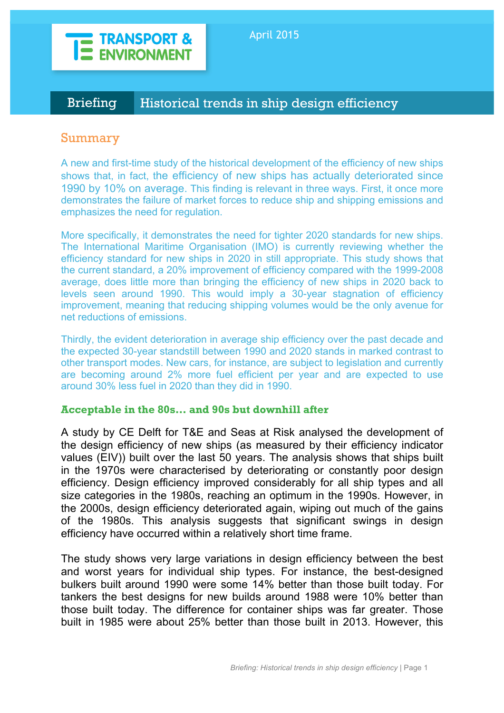

# Briefing Historical trends in ship design efficiency

## Summary

A new and first-time study of the historical development of the efficiency of new ships shows that, in fact, the efficiency of new ships has actually deteriorated since 1990 by 10% on average. This finding is relevant in three ways. First, it once more demonstrates the failure of market forces to reduce ship and shipping emissions and emphasizes the need for regulation.

More specifically, it demonstrates the need for tighter 2020 standards for new ships. The International Maritime Organisation (IMO) is currently reviewing whether the efficiency standard for new ships in 2020 in still appropriate. This study shows that the current standard, a 20% improvement of efficiency compared with the 1999-2008 average, does little more than bringing the efficiency of new ships in 2020 back to levels seen around 1990. This would imply a 30-year stagnation of efficiency improvement, meaning that reducing shipping volumes would be the only avenue for net reductions of emissions.

Thirdly, the evident deterioration in average ship efficiency over the past decade and the expected 30-year standstill between 1990 and 2020 stands in marked contrast to other transport modes. New cars, for instance, are subject to legislation and currently are becoming around 2% more fuel efficient per year and are expected to use around 30% less fuel in 2020 than they did in 1990.

#### **Acceptable in the 80s… and 90s but downhill after**

A study by CE Delft for T&E and Seas at Risk analysed the development of the design efficiency of new ships (as measured by their efficiency indicator values (EIV)) built over the last 50 years. The analysis shows that ships built in the 1970s were characterised by deteriorating or constantly poor design efficiency. Design efficiency improved considerably for all ship types and all size categories in the 1980s, reaching an optimum in the 1990s. However, in the 2000s, design efficiency deteriorated again, wiping out much of the gains of the 1980s. This analysis suggests that significant swings in design efficiency have occurred within a relatively short time frame.

The study shows very large variations in design efficiency between the best and worst years for individual ship types. For instance, the best-designed bulkers built around 1990 were some 14% better than those built today. For tankers the best designs for new builds around 1988 were 10% better than those built today. The difference for container ships was far greater. Those built in 1985 were about 25% better than those built in 2013. However, this